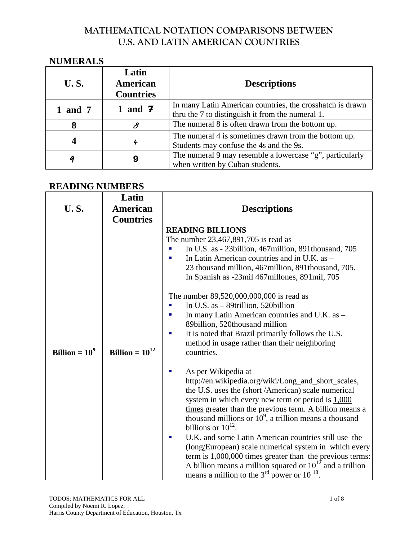#### **NUMERALS**

| <b>U.S.</b> | Latin<br>American<br><b>Countries</b> | <b>Descriptions</b>                                                                                           |  |
|-------------|---------------------------------------|---------------------------------------------------------------------------------------------------------------|--|
| 1 and 7     | 1 and $7$                             | In many Latin American countries, the crosshatch is drawn<br>thru the 7 to distinguish it from the numeral 1. |  |
| 8           | 8                                     | The numeral 8 is often drawn from the bottom up.                                                              |  |
|             | 4                                     | The numeral 4 is sometimes drawn from the bottom up.<br>Students may confuse the 4s and the 9s.               |  |
|             |                                       | The numeral 9 may resemble a lowercase "g", particularly<br>when written by Cuban students.                   |  |

#### **READING NUMBERS**

| <b>U.S.</b>     | Latin<br><b>American</b><br><b>Countries</b> | <b>Descriptions</b>                                                                                                                                                                                                                                                                                                                                                                                                                                                                                                                                                                                                                                                                                                                                                                                                                                                                                                                                                                                                                                                                                                                                                                                                                                             |
|-----------------|----------------------------------------------|-----------------------------------------------------------------------------------------------------------------------------------------------------------------------------------------------------------------------------------------------------------------------------------------------------------------------------------------------------------------------------------------------------------------------------------------------------------------------------------------------------------------------------------------------------------------------------------------------------------------------------------------------------------------------------------------------------------------------------------------------------------------------------------------------------------------------------------------------------------------------------------------------------------------------------------------------------------------------------------------------------------------------------------------------------------------------------------------------------------------------------------------------------------------------------------------------------------------------------------------------------------------|
| Billion $=10^9$ | Billion = $10^{12}$                          | <b>READING BILLIONS</b><br>The number 23,467,891,705 is read as<br>In U.S. as - 23 billion, 467 million, 891 thousand, 705<br>In Latin American countries and in U.K. as -<br>23 thousand million, 467 million, 891 thousand, 705.<br>In Spanish as -23mil 467millones, 891mil, 705<br>The number 89,520,000,000,000 is read as<br>In U.S. as $-$ 89trillion, 520billion<br>In many Latin American countries and U.K. as -<br>ш<br>89billion, 520thousand million<br>It is noted that Brazil primarily follows the U.S.<br>п<br>method in usage rather than their neighboring<br>countries.<br>As per Wikipedia at<br>E<br>http://en.wikipedia.org/wiki/Long_and_short_scales,<br>the U.S. uses the (short/American) scale numerical<br>system in which every new term or period is $1,000$<br>times greater than the previous term. A billion means a<br>thousand millions or $10^9$ , a trillion means a thousand<br>billions or $10^{12}$ .<br>U.K. and some Latin American countries still use the<br>ш<br>(long/European) scale numerical system in which every<br>term is $1,000,000$ times greater than the previous terms:<br>A billion means a million squared or $10^{12}$ and a trillion<br>means a million to the $3rd$ power or 10 <sup>18</sup> . |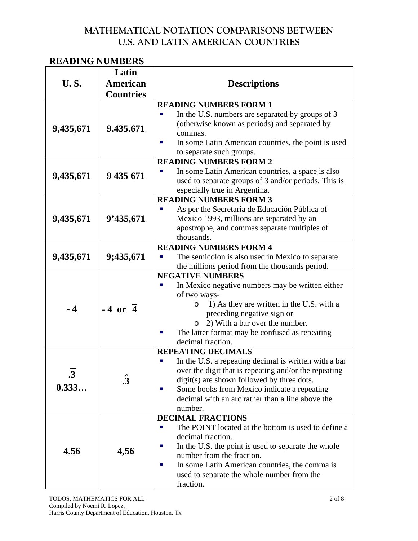#### **READING NUMBERS**

|             | Latin                  |                                                                                                                                                                                                                                                                                 |  |  |
|-------------|------------------------|---------------------------------------------------------------------------------------------------------------------------------------------------------------------------------------------------------------------------------------------------------------------------------|--|--|
| <b>U.S.</b> | <b>American</b>        | <b>Descriptions</b>                                                                                                                                                                                                                                                             |  |  |
|             | <b>Countries</b>       |                                                                                                                                                                                                                                                                                 |  |  |
| 9,435,671   | 9.435.671              | <b>READING NUMBERS FORM 1</b><br>In the U.S. numbers are separated by groups of 3<br>(otherwise known as periods) and separated by<br>commas.<br>In some Latin American countries, the point is used<br>ш<br>to separate such groups.                                           |  |  |
|             |                        | <b>READING NUMBERS FORM 2</b>                                                                                                                                                                                                                                                   |  |  |
| 9,435,671   | 9 435 671              | In some Latin American countries, a space is also<br>used to separate groups of 3 and/or periods. This is<br>especially true in Argentina.                                                                                                                                      |  |  |
|             |                        | <b>READING NUMBERS FORM 3</b>                                                                                                                                                                                                                                                   |  |  |
| 9,435,671   | 9'435,671              | As per the Secretaría de Educación Pública of<br>Mexico 1993, millions are separated by an<br>apostrophe, and commas separate multiples of<br>thousands.                                                                                                                        |  |  |
|             |                        | <b>READING NUMBERS FORM 4</b>                                                                                                                                                                                                                                                   |  |  |
| 9,435,671   | 9;435,671              | The semicolon is also used in Mexico to separate<br>the millions period from the thousands period.                                                                                                                                                                              |  |  |
|             |                        | <b>NEGATIVE NUMBERS</b>                                                                                                                                                                                                                                                         |  |  |
| $-4$        | $-4$ or $\overline{4}$ | In Mexico negative numbers may be written either<br>of two ways-<br>1) As they are written in the U.S. with a<br>O<br>preceding negative sign or<br>2) With a bar over the number.<br>$\circ$<br>The latter format may be confused as repeating<br>decimal fraction.            |  |  |
|             |                        | <b>REPEATING DECIMALS</b>                                                                                                                                                                                                                                                       |  |  |
| .3<br>0.333 | $\boldsymbol{\hat{3}}$ | In the U.S. a repeating decimal is written with a bar<br>over the digit that is repeating and/or the repeating<br>digit(s) are shown followed by three dots.<br>Some books from Mexico indicate a repeating<br>×<br>decimal with an arc rather than a line above the<br>number. |  |  |
|             |                        | <b>DECIMAL FRACTIONS</b>                                                                                                                                                                                                                                                        |  |  |
| 4.56        | 4,56                   | The POINT located at the bottom is used to define a<br>decimal fraction.<br>In the U.S. the point is used to separate the whole<br>number from the fraction.<br>In some Latin American countries, the comma is<br>×.<br>used to separate the whole number from the<br>fraction. |  |  |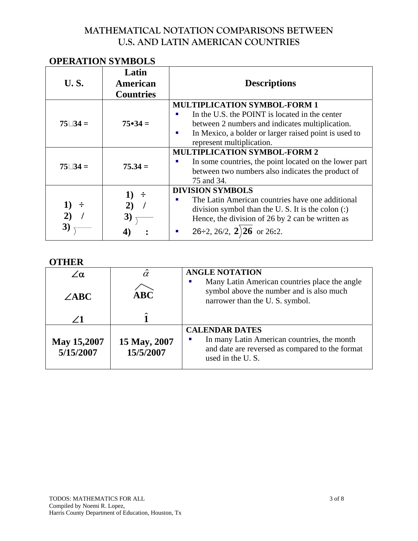# **OPERATION SYMBOLS**

| <b>U.S.</b>                            | Latin<br>American<br><b>Countries</b> | <b>Descriptions</b>                                                                                                                                                                                                                                                                                                                                                                        |
|----------------------------------------|---------------------------------------|--------------------------------------------------------------------------------------------------------------------------------------------------------------------------------------------------------------------------------------------------------------------------------------------------------------------------------------------------------------------------------------------|
| $75 \square 34 =$<br>$75 \square 34 =$ | $75 \cdot 34 =$<br>$75.34 =$          | <b>MULTIPLICATION SYMBOL-FORM 1</b><br>In the U.S. the POINT is located in the center<br>between 2 numbers and indicates multiplication.<br>In Mexico, a bolder or larger raised point is used to<br>×.<br>represent multiplication.<br><b>MULTIPLICATION SYMBOL-FORM 2</b><br>In some countries, the point located on the lower part<br>between two numbers also indicates the product of |
|                                        |                                       | 75 and 34.                                                                                                                                                                                                                                                                                                                                                                                 |
|                                        | 1)                                    | <b>DIVISION SYMBOLS</b><br>The Latin American countries have one additional<br>п<br>division symbol than the U.S. It is the colon $\left( \cdot \right)$<br>Hence, the division of 26 by 2 can be written as<br>26÷2, 26/2, 2) <b>26</b> or 26:2.<br>ш                                                                                                                                     |

#### **OTHER**

| ∕α.<br>$\angle ABC$             | $\hat{\alpha}$<br>ABC     | <b>ANGLE NOTATION</b><br>Many Latin American countries place the angle<br>symbol above the number and is also much<br>narrower than the U.S. symbol. |
|---------------------------------|---------------------------|------------------------------------------------------------------------------------------------------------------------------------------------------|
|                                 |                           |                                                                                                                                                      |
| <b>May 15,2007</b><br>5/15/2007 | 15 May, 2007<br>15/5/2007 | <b>CALENDAR DATES</b><br>In many Latin American countries, the month<br>and date are reversed as compared to the format<br>used in the U.S.          |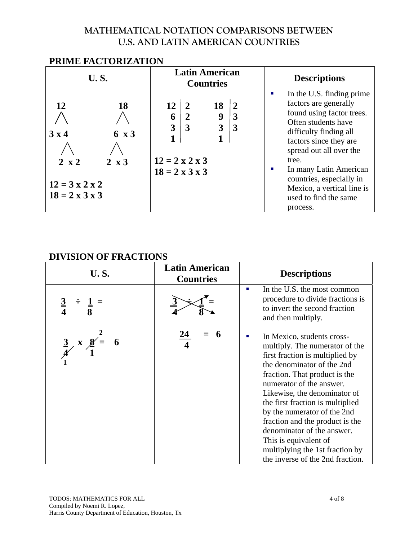| F NIME FAUTUNIZATION                                                                           |                                    |                                                                                       |                                     |              |                          |                             |                                                                                                                                                                                                                                                                                                    |
|------------------------------------------------------------------------------------------------|------------------------------------|---------------------------------------------------------------------------------------|-------------------------------------|--------------|--------------------------|-----------------------------|----------------------------------------------------------------------------------------------------------------------------------------------------------------------------------------------------------------------------------------------------------------------------------------------------|
| <b>U.S.</b>                                                                                    |                                    | <b>Latin American</b><br><b>Countries</b>                                             |                                     |              |                          |                             | <b>Descriptions</b>                                                                                                                                                                                                                                                                                |
| 12<br>$3 \times 4$<br>$2 \times 2$<br>$12 = 3 \times 2 \times 2$<br>$18 = 2 \times 3 \times 3$ | 18<br>$6 \times 3$<br>$2 \times 3$ | 12<br>6<br>$\overline{3}$<br>$12 = 2 \times 2 \times 3$<br>$18 = 2 \times 3 \times 3$ | $\mathbf{2}$<br>$\overline{2}$<br>3 | 18<br>9<br>3 | $\overline{2}$<br>3<br>3 | п<br>tree.<br>ш<br>process. | In the U.S. finding prime<br>factors are generally<br>found using factor trees.<br>Often students have<br>difficulty finding all<br>factors since they are<br>spread out all over the<br>In many Latin American<br>countries, especially in<br>Mexico, a vertical line is<br>used to find the same |

# **PRIME FACTORIZATION**

#### **DIVISION OF FRACTIONS**

| <b>U.S.</b>                                              | <b>Latin American</b><br><b>Countries</b> | <b>Descriptions</b>                                                                                                                                                                                                                                                                                                                                                                                                                                                 |
|----------------------------------------------------------|-------------------------------------------|---------------------------------------------------------------------------------------------------------------------------------------------------------------------------------------------------------------------------------------------------------------------------------------------------------------------------------------------------------------------------------------------------------------------------------------------------------------------|
| $\frac{3}{4}$                                            |                                           | In the U.S. the most common<br>п<br>procedure to divide fractions is<br>to invert the second fraction<br>and then multiply.                                                                                                                                                                                                                                                                                                                                         |
| $\frac{3}{4}$ x $\frac{8}{1}$<br>$\overline{\mathbf{6}}$ |                                           | In Mexico, students cross-<br>п<br>multiply. The numerator of the<br>first fraction is multiplied by<br>the denominator of the 2nd<br>fraction. That product is the<br>numerator of the answer.<br>Likewise, the denominator of<br>the first fraction is multiplied<br>by the numerator of the 2nd<br>fraction and the product is the<br>denominator of the answer.<br>This is equivalent of<br>multiplying the 1st fraction by<br>the inverse of the 2nd fraction. |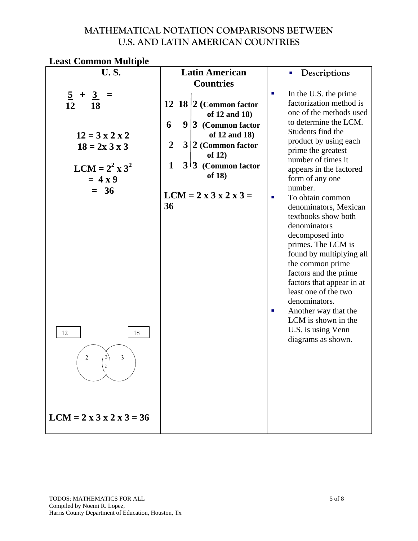| <b>Least Common Multiple</b> |  |
|------------------------------|--|
|------------------------------|--|

| <b>U.S.</b>                                                                                                                                                      | <b>Latin American</b>                                                                                                                                                                                                                              | Descriptions                                                                                                                                                                                                                                                                                                                                                                                                                                                                                                                                               |  |
|------------------------------------------------------------------------------------------------------------------------------------------------------------------|----------------------------------------------------------------------------------------------------------------------------------------------------------------------------------------------------------------------------------------------------|------------------------------------------------------------------------------------------------------------------------------------------------------------------------------------------------------------------------------------------------------------------------------------------------------------------------------------------------------------------------------------------------------------------------------------------------------------------------------------------------------------------------------------------------------------|--|
|                                                                                                                                                                  | <b>Countries</b>                                                                                                                                                                                                                                   |                                                                                                                                                                                                                                                                                                                                                                                                                                                                                                                                                            |  |
| $\overline{5}$<br>$\overline{3}$<br>$+$<br>$=$<br>12<br><b>18</b><br>$12 = 3 \times 2 \times 2$<br>$18 = 2x 3x 3$<br>$LCM = 2^2 \times 3^2$<br>$= 4x9$<br>$= 36$ | 12 18 $ 2$ (Common factor<br>of 12 and 18)<br>6<br>$9 3$ (Common factor<br>of 12 and 18)<br>$\overline{2}$<br>$3 2$ (Common factor<br>of $12)$<br>$\mathbf 1$<br>$3^{13}$ (Common factor<br>of 18)<br>$LCM = 2 \times 3 \times 2 \times 3 =$<br>36 | In the U.S. the prime<br>$\blacksquare$<br>factorization method is<br>one of the methods used<br>to determine the LCM.<br>Students find the<br>product by using each<br>prime the greatest<br>number of times it<br>appears in the factored<br>form of any one<br>number.<br>To obtain common<br>п<br>denominators, Mexican<br>textbooks show both<br>denominators<br>decomposed into<br>primes. The LCM is<br>found by multiplying all<br>the common prime<br>factors and the prime<br>factors that appear in at<br>least one of the two<br>denominators. |  |
| 12<br>18<br>$\overline{2}$<br>3<br>$LCM = 2 \times 3 \times 2 \times 3 = 36$                                                                                     |                                                                                                                                                                                                                                                    | Another way that the<br>п<br>LCM is shown in the<br>U.S. is using Venn<br>diagrams as shown.                                                                                                                                                                                                                                                                                                                                                                                                                                                               |  |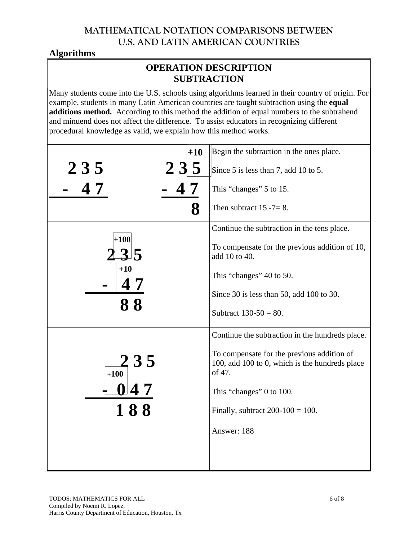# **Algorithms**

#### **OPERATION DESCRIPTION SUBTRACTION**

Many students come into the U.S. schools using algorithms learned in their country of origin. For example, students in many Latin American countries are taught subtraction using the **equal additions method.** According to this method the addition of equal numbers to the subtrahend and minuend does not affect the difference. To assist educators in recognizing different procedural knowledge as valid, we explain how this method works.

| $+10$                | Begin the subtraction in the ones place.                                                               |
|----------------------|--------------------------------------------------------------------------------------------------------|
| 235<br>235           | Since 5 is less than 7, add 10 to 5.                                                                   |
|                      | This "changes" 5 to 15.                                                                                |
| 8                    | Then subtract $15 - 7 = 8$ .                                                                           |
|                      | Continue the subtraction in the tens place.                                                            |
| $+100\vert$          | To compensate for the previous addition of 10,<br>add 10 to 40.                                        |
| $+10$                | This "changes" 40 to 50.                                                                               |
|                      | Since 30 is less than 50, add 100 to 30.                                                               |
| 88                   | Subtract $130-50 = 80$ .                                                                               |
|                      | Continue the subtraction in the hundreds place.                                                        |
| <b>235</b><br>$+100$ | To compensate for the previous addition of<br>100, add 100 to 0, which is the hundreds place<br>of 47. |
| $-047$               | This "changes" 0 to 100.                                                                               |
| 188                  | Finally, subtract $200-100 = 100$ .                                                                    |
|                      | Answer: 188                                                                                            |
|                      |                                                                                                        |
|                      |                                                                                                        |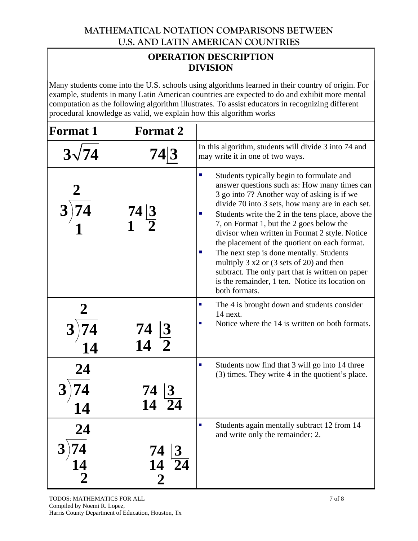# **OPERATION DESCRIPTION DIVISION**

Many students come into the U.S. schools using algorithms learned in their country of origin. For example, students in many Latin American countries are expected to do and exhibit more mental computation as the following algorithm illustrates. To assist educators in recognizing different procedural knowledge as valid, we explain how this algorithm works

| <b>Format 1</b>      | <b>Format 2</b>                                            |                                                                                                                                                                                                                                                                                                                                                                                                                                                                                                                                                                                                                                                                          |
|----------------------|------------------------------------------------------------|--------------------------------------------------------------------------------------------------------------------------------------------------------------------------------------------------------------------------------------------------------------------------------------------------------------------------------------------------------------------------------------------------------------------------------------------------------------------------------------------------------------------------------------------------------------------------------------------------------------------------------------------------------------------------|
| $3\sqrt{74}$         | 74 3                                                       | In this algorithm, students will divide 3 into 74 and<br>may write it in one of two ways.                                                                                                                                                                                                                                                                                                                                                                                                                                                                                                                                                                                |
|                      | $\frac{74}{1}$ $\frac{3}{2}$                               | $\mathcal{L}_{\mathcal{A}}$<br>Students typically begin to formulate and<br>answer questions such as: How many times can<br>3 go into 7? Another way of asking is if we<br>divide 70 into 3 sets, how many are in each set.<br>Students write the 2 in the tens place, above the<br>7, on Format 1, but the 2 goes below the<br>divisor when written in Format 2 style. Notice<br>the placement of the quotient on each format.<br>The next step is done mentally. Students<br>×.<br>multiply $3 \times 2$ or $(3 \text{ sets of } 20)$ and then<br>subtract. The only part that is written on paper<br>is the remainder, 1 ten. Notice its location on<br>both formats. |
| 14                   | 74<br>14                                                   | The 4 is brought down and students consider<br>14 next.<br>Notice where the 14 is written on both formats.                                                                                                                                                                                                                                                                                                                                                                                                                                                                                                                                                               |
| 24                   | 74                                                         | Students now find that 3 will go into 14 three<br>٠<br>(3) times. They write 4 in the quotient's place.                                                                                                                                                                                                                                                                                                                                                                                                                                                                                                                                                                  |
| 14<br>$\overline{2}$ | 74<br> 3<br>$\overline{24}$<br><b>14</b><br>$\overline{2}$ | Students again mentally subtract 12 from 14<br>п<br>and write only the remainder: 2.                                                                                                                                                                                                                                                                                                                                                                                                                                                                                                                                                                                     |